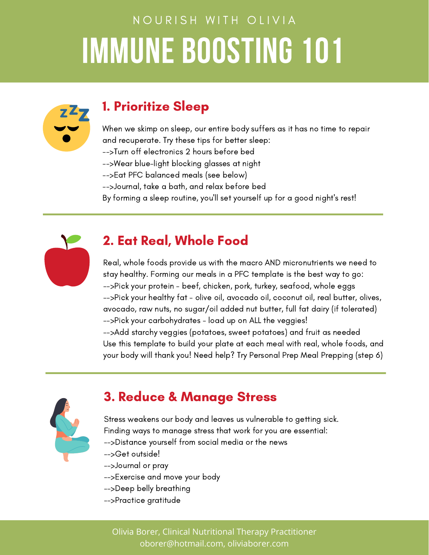# NOURISH WITH OLIVIA **IMMUNE BOOSTING 101**



### 1. Prioritize Sleep

When we skimp on sleep, our entire body suffers as it has no time to repair and recuperate. Try these tips for better sleep: -->Turn off electronics 2 hours before bed

- -->Wear blue-light blocking glasses at night
- -->Eat PFC balanced meals (see below)
- -->Journal, take a bath, and relax before bed
- By forming a sleep routine, you'll set yourself up for a good night's rest!



### 2. Eat Real, Whole Food

Real, whole foods provide us with the macro AND micronutrients we need to stay healthy. Forming our meals in a PFC template is the best way to go: -->Pick your protein - beef, chicken, pork, turkey, seafood, whole eggs -->Pick your healthy fat - olive oil, avocado oil, coconut oil, real butter, olives, avocado, raw nuts, no sugar/oil added nut butter, full fat dairy (if tolerated) -->Pick your carbohydrates - load up on ALL the veggies! -->Add starchy veggies (potatoes, sweet potatoes) and fruit as needed Use this template to build your plate at each meal with real, whole foods, and your body will thank you! Need help? Try Personal Prep Meal Prepping (step 6)



#### 3. Reduce & Manage Stress

Stress weakens our body and leaves us vulnerable to getting sick. Finding ways to manage stress that work for you are essential: -->Distance yourself from social media or the news -->Get outside! -->Journal or pray -->Exercise and move your body

- -->Deep belly breathing
- -->Practice gratitude